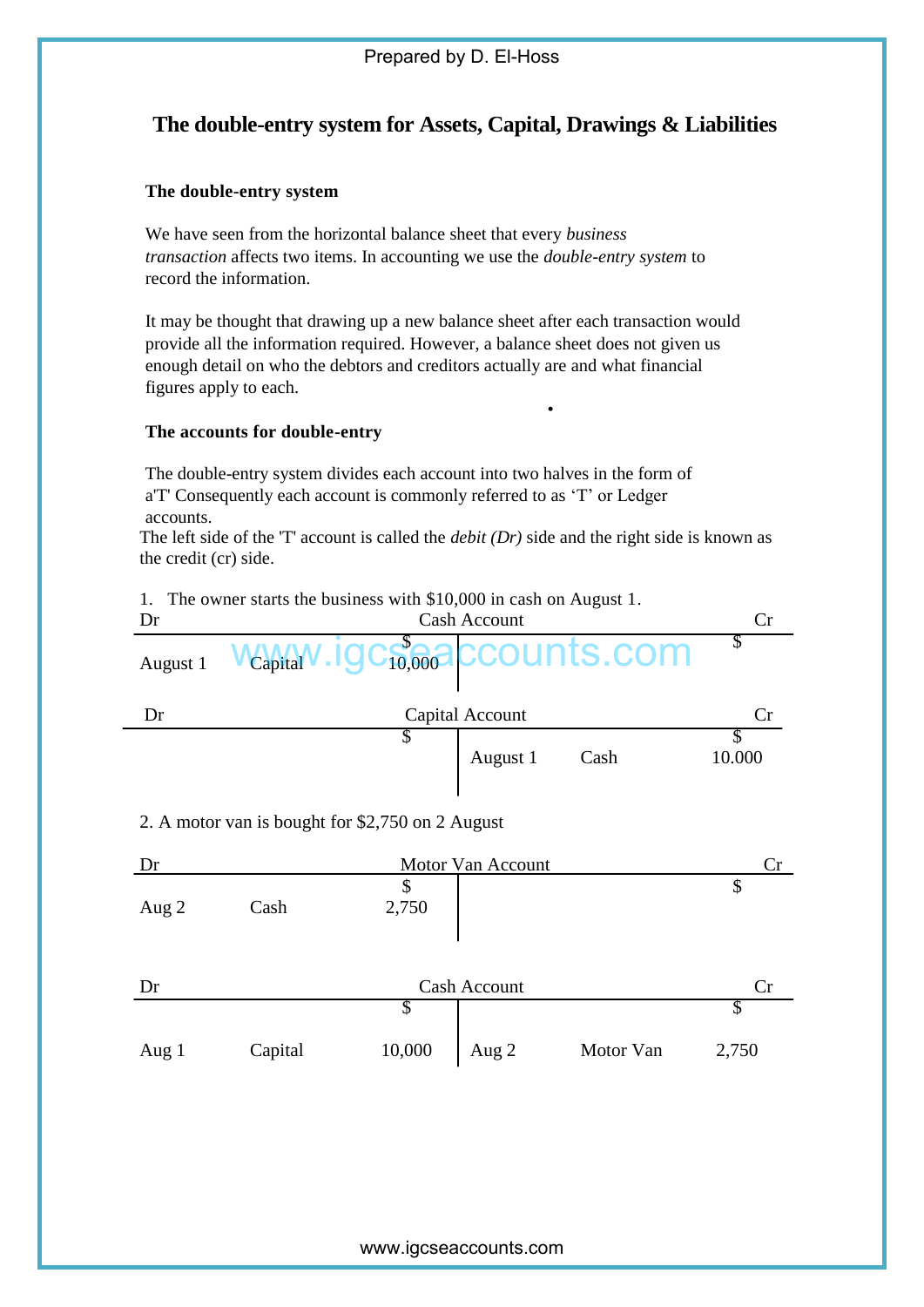# **The double-entry system for Assets, Capital, Drawings & Liabilities**

### **The double-entry system**

We have seen from the horizontal balance sheet that every *business transaction* affects two items. In accounting we use the *double-entry system* to record the information.

It may be thought that drawing up a new balance sheet after each transaction would provide all the information required. However, a balance sheet does not given us enough detail on who the debtors and creditors actually are and what financial figures apply to each.

•

### **The accounts for double-entry**

The double-entry system divides each account into two halves in the form of a'T' Consequently each account is commonly referred to as 'T' or Ledger accounts.

The left side of the 'T' account is called the *debit (Dr)* side and the right side is known as the credit (cr) side.